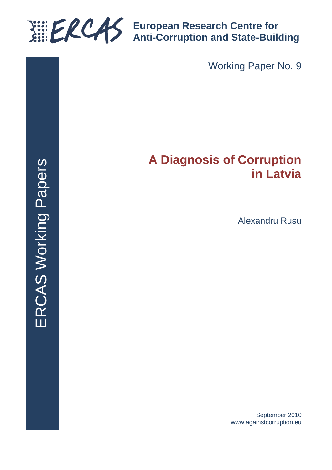

**European Research Centre for Anti-Corruption and State-Building**

Working Paper No. 9

# **A Diagnosis of Corruption in Latvia**

Alexandru Rusu

September 2010 www.againstcorruption.eu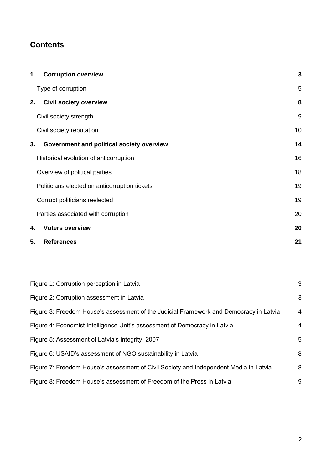# **Contents**

| 1. | <b>Corruption overview</b>                    | 3  |
|----|-----------------------------------------------|----|
|    | Type of corruption                            | 5  |
| 2. | <b>Civil society overview</b>                 | 8  |
|    | Civil society strength                        | 9  |
|    | Civil society reputation                      | 10 |
| 3. | Government and political society overview     | 14 |
|    | Historical evolution of anticorruption        | 16 |
|    | Overview of political parties                 | 18 |
|    | Politicians elected on anticorruption tickets | 19 |
|    | Corrupt politicians reelected                 | 19 |
|    | Parties associated with corruption            | 20 |
| 4. | <b>Voters overview</b>                        | 20 |
| 5. | <b>References</b>                             | 21 |

| Figure 1: Corruption perception in Latvia                                              | 3              |
|----------------------------------------------------------------------------------------|----------------|
| Figure 2: Corruption assessment in Latvia                                              | 3              |
| Figure 3: Freedom House's assessment of the Judicial Framework and Democracy in Latvia | $\overline{4}$ |
| Figure 4: Economist Intelligence Unit's assessment of Democracy in Latvia              | 4              |
| Figure 5: Assessment of Latvia's integrity, 2007                                       | 5              |
| Figure 6: USAID's assessment of NGO sustainability in Latvia                           | 8              |
| Figure 7: Freedom House's assessment of Civil Society and Independent Media in Latvia  | 8              |
| Figure 8: Freedom House's assessment of Freedom of the Press in Latvia                 | 9              |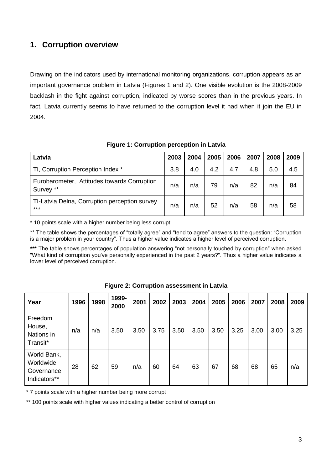# <span id="page-2-0"></span>**1. Corruption overview**

Drawing on the indicators used by international monitoring organizations, corruption appears as an important governance problem in Latvia (Figures 1 and 2). One visible evolution is the 2008-2009 backlash in the fight against corruption, indicated by worse scores than in the previous years. In fact, Latvia currently seems to have returned to the corruption level it had when it join the EU in 2004.

| Latvia                                                   | 2003 | 2004 | 2005 | 2006 | 2007 | 2008 | 2009 |
|----------------------------------------------------------|------|------|------|------|------|------|------|
| TI, Corruption Perception Index *                        | 3.8  | 4.0  | 4.2  | 4.7  | 4.8  | 5.0  | 4.5  |
| Eurobarometer, Attitudes towards Corruption<br>Survey ** | n/a  | n/a  | 79   | n/a  | 82   | n/a  | 84   |
| TI-Latvia Delna, Corruption perception survey<br>***     | n/a  | n/a  | 52   | n/a  | 58   | n/a  | 58   |

**Figure 1: Corruption perception in Latvia**

\* 10 points scale with a higher number being less corrupt

\*\* The table shows the percentages of "totally agree" and "tend to agree" answers to the question: "Corruption is a major problem in your country". Thus a higher value indicates a higher level of perceived corruption.

**\*\*\*** The table shows percentages of population answering "not personally touched by corruption" when asked "What kind of corruption you've personally experienced in the past 2 years?". Thus a higher value indicates a lower level of perceived corruption.

| Year                                                   | 1996 | 1998 | 1999-<br>2000 | 2001 | 2002 | 2003 | 2004 | 2005 | 2006 | 2007 | 2008 | 2009 |
|--------------------------------------------------------|------|------|---------------|------|------|------|------|------|------|------|------|------|
| Freedom<br>House,<br>Nations in<br>Transit*            | n/a  | n/a  | 3.50          | 3.50 | 3.75 | 3.50 | 3.50 | 3.50 | 3.25 | 3.00 | 3.00 | 3.25 |
| World Bank,<br>Worldwide<br>Governance<br>Indicators** | 28   | 62   | 59            | n/a  | 60   | 64   | 63   | 67   | 68   | 68   | 65   | n/a  |

**Figure 2: Corruption assessment in Latvia**

\* 7 points scale with a higher number being more corrupt

\*\* 100 points scale with higher values indicating a better control of corruption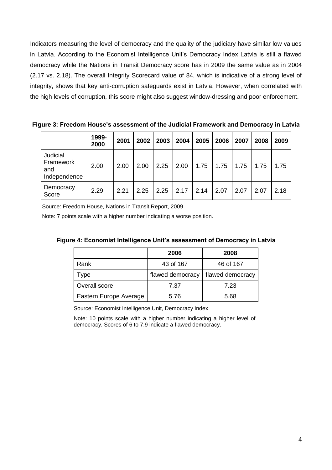Indicators measuring the level of democracy and the quality of the judiciary have similar low values in Latvia. According to the Economist Intelligence Unit's Democracy Index Latvia is still a flawed democracy while the Nations in Transit Democracy score has in 2009 the same value as in 2004 (2.17 vs. 2.18). The overall Integrity Scorecard value of 84, which is indicative of a strong level of integrity, shows that key anti-corruption safeguards exist in Latvia. However, when correlated with the high levels of corruption, this score might also suggest window-dressing and poor enforcement.

**Figure 3: Freedom House's assessment of the Judicial Framework and Democracy in Latvia**

|                                              | 1999-<br>2000 | 2001 | 2002 | 2003 | 2004 | 2005 | 2006 | 2007 | 2008 | 2009 |
|----------------------------------------------|---------------|------|------|------|------|------|------|------|------|------|
| Judicial<br>Framework<br>and<br>Independence | 2.00          | 2.00 | 2.00 | 2.25 | 2.00 | 1.75 | 1.75 | 1.75 | 1.75 | 1.75 |
| Democracy<br>Score                           | 2.29          | 2.21 | 2.25 | 2.25 | 2.17 | 2.14 | 2.07 | 2.07 | 2.07 | 2.18 |

Source: Freedom House, Nations in Transit Report, 2009

Note: 7 points scale with a higher number indicating a worse position.

|                        | 2006             | 2008             |
|------------------------|------------------|------------------|
| Rank                   | 43 of 167        | 46 of 167        |
| Type                   | flawed democracy | flawed democracy |
| Overall score          | 7.37             | 7.23             |
| Eastern Europe Average | 5.76             | 5.68             |

**Figure 4: Economist Intelligence Unit's assessment of Democracy in Latvia**

Source: Economist Intelligence Unit, Democracy Index

Note: 10 points scale with a higher number indicating a higher level of democracy. Scores of 6 to 7.9 indicate a flawed democracy.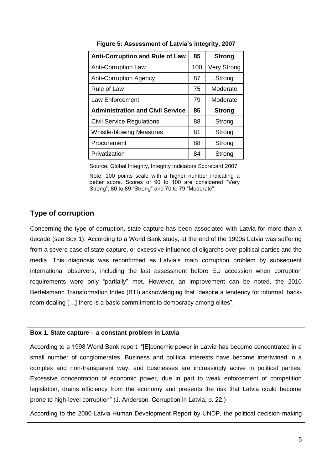| <b>Anti-Corruption and Rule of Law</b>  | 85  | <b>Strong</b>      |
|-----------------------------------------|-----|--------------------|
| <b>Anti-Corruption Law</b>              | 100 | <b>Very Strong</b> |
| <b>Anti-Corruption Agency</b>           | 87  | Strong             |
| Rule of Law                             | 75  | Moderate           |
| <b>Law Enforcement</b>                  | 79  | Moderate           |
| <b>Administration and Civil Service</b> | 85  | <b>Strong</b>      |
| <b>Civil Service Regulations</b>        | 88  | Strong             |
| <b>Whistle-blowing Measures</b>         | 81  | Strong             |
| Procurement                             | 88  | Strong             |
| Privatization                           | 84  | Strong             |

**Figure 5: Assessment of Latvia's integrity, 2007**

Source: Global Integrity, Integrity Indicators Scorecard 2007

Note: 100 points scale with a higher number indicating a better score. Scores of 90 to 100 are considered "Very Strong", 80 to 89 "Strong" and 70 to 79 "Moderate".

# <span id="page-4-0"></span>**Type of corruption**

Concerning the type of corruption, state capture has been associated with Latvia for more than a decade (see Box 1). According to a World Bank study, at the end of the 1990s Latvia was suffering from a severe case of state capture, or excessive influence of oligarchs over political parties and the media. This diagnosis was reconfirmed as Latvia's main corruption problem by subsequent international observers, including the last assessment before EU accession when corruption requirements were only "partially" met. However, an improvement can be noted, the 2010 Bertelsmann Transformation Index (BTI) acknowledging that "despite a tendency for informal, backroom dealing […] there is a basic commitment to democracy among elites".

#### **Box 1. State capture – a constant problem in Latvia**

According to a 1998 World Bank report: "[E]conomic power in Latvia has become concentrated in a small number of conglomerates. Business and political interests have become intertwined in a complex and non-transparent way, and businesses are increasingly active in political parties. Excessive concentration of economic power, due in part to weak enforcement of competition legislation, drains efficiency from the economy and presents the risk that Latvia could become prone to high-level corruption" (J. Anderson, Corruption in Latvia, p. 22.)

According to the 2000 Latvia Human Development Report by UNDP, the political decision-making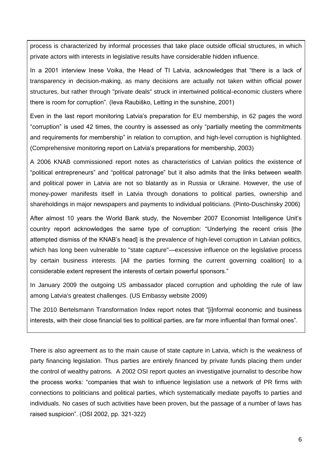process is characterized by informal processes that take place outside official structures, in which private actors with interests in legislative results have considerable hidden influence.

In a 2001 interview Inese Voika, the Head of TI Latvia, acknowledges that "there is a lack of transparency in decision-making, as many decisions are actually not taken within official power structures, but rather through "private deals" struck in intertwined political-economic clusters where there is room for corruption". (Ieva Raubiško, Letting in the sunshine, 2001)

Even in the last report monitoring Latvia's preparation for EU membership, in 62 pages the word "corruption" is used 42 times, the country is assessed as only "partially meeting the commitments and requirements for membership" in relation to corruption, and high-level corruption is highlighted. (Comprehensive monitoring report on Latvia's preparations for membership, 2003)

A 2006 KNAB commissioned report notes as characteristics of Latvian politics the existence of "political entrepreneurs" and "political patronage" but it also admits that the links between wealth and political power in Latvia are not so blatantly as in Russia or Ukraine. However, the use of money-power manifests itself in Latvia through donations to political parties, ownership and shareholdings in major newspapers and payments to individual politicians. (Pinto-Duschinsky 2006)

After almost 10 years the World Bank study, the November 2007 Economist Intelligence Unit's country report acknowledges the same type of corruption: "Underlying the recent crisis [the attempted dismiss of the KNAB's head] is the prevalence of high-level corruption in Latvian politics, which has long been vulnerable to "state capture"—excessive influence on the legislative process by certain business interests. [All the parties forming the current governing coalition] to a considerable extent represent the interests of certain powerful sponsors."

In January 2009 the outgoing US ambassador placed corruption and upholding the rule of law among Latvia's greatest challenges. (US Embassy website 2009)

The 2010 Bertelsmann Transformation Index report notes that "[i]nformal economic and business interests, with their close financial ties to political parties, are far more influential than formal ones".

There is also agreement as to the main cause of state capture in Latvia, which is the weakness of party financing legislation. Thus parties are entirely financed by private funds placing them under the control of wealthy patrons. A 2002 OSI report quotes an investigative journalist to describe how the process works: "companies that wish to influence legislation use a network of PR firms with connections to politicians and political parties, which systematically mediate payoffs to parties and individuals. No cases of such activities have been proven, but the passage of a number of laws has raised suspicion". (OSI 2002, pp. 321-322)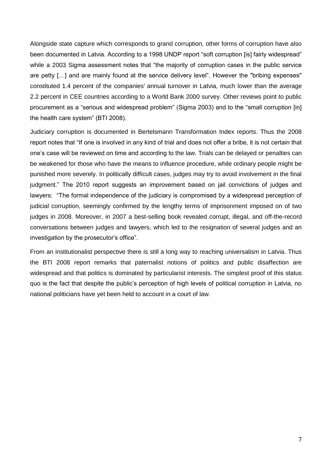Alongside state capture which corresponds to grand corruption, other forms of corruption have also been documented in Latvia. According to a 1998 UNDP report "soft corruption [is] fairly widespread" while a 2003 Sigma assessment notes that "the majority of corruption cases in the public service are petty […] and are mainly found at the service delivery level". However the "bribing expenses" constituted 1.4 percent of the companies' annual turnover in Latvia, much lower than the average 2.2 percent in CEE countries according to a World Bank 2000 survey. Other reviews point to public procurement as a "serious and widespread problem" (Sigma 2003) and to the "small corruption [in] the health care system" (BTI 2008).

Judiciary corruption is documented in Bertelsmann Transformation Index reports. Thus the 2008 report notes that "If one is involved in any kind of trial and does not offer a bribe, it is not certain that one's case will be reviewed on time and according to the law. Trials can be delayed or penalties can be weakened for those who have the means to influence procedure, while ordinary people might be punished more severely. In politically difficult cases, judges may try to avoid involvement in the final judgment." The 2010 report suggests an improvement based on jail convictions of judges and lawyers: "The formal independence of the judiciary is compromised by a widespread perception of judicial corruption, seemingly confirmed by the lengthy terms of imprisonment imposed on of two judges in 2008. Moreover, in 2007 a best-selling book revealed corrupt, illegal, and off-the-record conversations between judges and lawyers, which led to the resignation of several judges and an investigation by the prosecutor's office".

From an institutionalist perspective there is still a long way to reaching universalism in Latvia. Thus the BTI 2008 report remarks that paternalist notions of politics and public disaffection are widespread and that politics is dominated by particularist interests. The simplest proof of this status quo is the fact that despite the public's perception of high levels of political corruption in Latvia, no national politicians have yet been held to account in a court of law.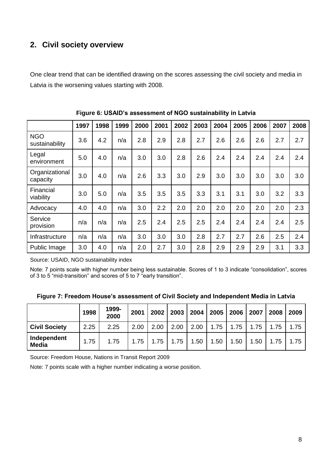# <span id="page-7-0"></span>**2. Civil society overview**

One clear trend that can be identified drawing on the scores assessing the civil society and media in Latvia is the worsening values starting with 2008.

|                              | 1997 | 1998 | 1999 | 2000 | 2001 | 2002 | 2003 | 2004 | 2005 | 2006 | 2007 | 2008 |
|------------------------------|------|------|------|------|------|------|------|------|------|------|------|------|
| <b>NGO</b><br>sustainability | 3.6  | 4.2  | n/a  | 2.8  | 2.9  | 2.8  | 2.7  | 2.6  | 2.6  | 2.6  | 2.7  | 2.7  |
| Legal<br>environment         | 5.0  | 4.0  | n/a  | 3.0  | 3.0  | 2.8  | 2.6  | 2.4  | 2.4  | 2.4  | 2.4  | 2.4  |
| Organizational<br>capacity   | 3.0  | 4.0  | n/a  | 2.6  | 3.3  | 3.0  | 2.9  | 3.0  | 3.0  | 3.0  | 3.0  | 3.0  |
| Financial<br>viability       | 3.0  | 5.0  | n/a  | 3.5  | 3.5  | 3.5  | 3.3  | 3.1  | 3.1  | 3.0  | 3.2  | 3.3  |
| Advocacy                     | 4.0  | 4.0  | n/a  | 3.0  | 2.2  | 2.0  | 2.0  | 2.0  | 2.0  | 2.0  | 2.0  | 2.3  |
| Service<br>provision         | n/a  | n/a  | n/a  | 2.5  | 2.4  | 2.5  | 2.5  | 2.4  | 2.4  | 2.4  | 2.4  | 2.5  |
| Infrastructure               | n/a  | n/a  | n/a  | 3.0  | 3.0  | 3.0  | 2.8  | 2.7  | 2.7  | 2.6  | 2.5  | 2.4  |
| Public Image                 | 3.0  | 4.0  | n/a  | 2.0  | 2.7  | 3.0  | 2.8  | 2.9  | 2.9  | 2.9  | 3.1  | 3.3  |

**Figure 6: USAID's assessment of NGO sustainability in Latvia**

Source: USAID, NGO sustainability index

Note: 7 points scale with higher number being less sustainable. Scores of 1 to 3 indicate "consolidation", scores of 3 to 5 "mid-transition" and scores of 5 to 7 "early transition".

|  | Figure 7: Freedom House's assessment of Civil Society and Independent Media in Latvia |  |  |  |
|--|---------------------------------------------------------------------------------------|--|--|--|
|  |                                                                                       |  |  |  |

|                             | 1998 | 1999-<br>2000 | 2001 | 2002 | 2003 | 2004 | 2005 | 2006 | 2007 | 2008 | 2009 |
|-----------------------------|------|---------------|------|------|------|------|------|------|------|------|------|
| <b>Civil Society</b>        | 2.25 | 2.25          | 2.00 | 2.00 | 2.00 | 2.00 | 1.75 | 1.75 | 1.75 | 1.75 | 1.75 |
| Independent<br><b>Media</b> | 1.75 | 1.75          | 1.75 | 1.75 | 1.75 | 1.50 | 1.50 | 1.50 | 1.50 | 1.75 | 1.75 |

Source: Freedom House, Nations in Transit Report 2009

Note: 7 points scale with a higher number indicating a worse position.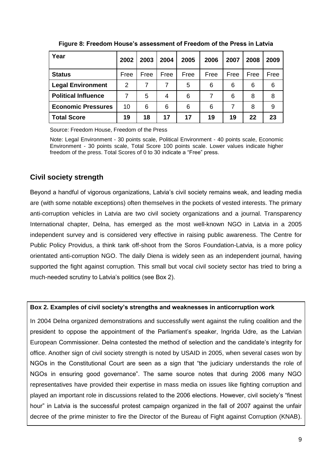| Year                       | 2002 | 2003 | 2004 | 2005 | 2006 | 2007 | 2008 | 2009 |
|----------------------------|------|------|------|------|------|------|------|------|
| <b>Status</b>              | Free | Free | Free | Free | Free | Free | Free | Free |
| <b>Legal Environment</b>   | 2    | 7    | 7    | 5    | 6    | 6    | 6    | 6    |
| <b>Political Influence</b> |      | 5    | 4    | 6    | 7    | 6    | 8    | 8    |
| <b>Economic Pressures</b>  | 10   | 6    | 6    | 6    | 6    | 7    | 8    | 9    |
| <b>Total Score</b>         | 19   | 18   | 17   | 17   | 19   | 19   | 22   | 23   |

**Figure 8: Freedom House's assessment of Freedom of the Press in Latvia**

Source: Freedom House, Freedom of the Press

Note: Legal Environment - 30 points scale, Political Environment - 40 points scale, Economic Environment - 30 points scale, Total Score 100 points scale. Lower values indicate higher freedom of the press. Total Scores of 0 to 30 indicate a "Free" press.

# <span id="page-8-0"></span>**Civil society strength**

Beyond a handful of vigorous organizations, Latvia's civil society remains weak, and leading media are (with some notable exceptions) often themselves in the pockets of vested interests. The primary anti-corruption vehicles in Latvia are two civil society organizations and a journal. Transparency International chapter, Delna, has emerged as the most well-known NGO in Latvia in a 2005 independent survey and is considered very effective in raising public awareness. The Centre for Public Policy Providus, a think tank off-shoot from the Soros Foundation-Latvia, is a more policy orientated anti-corruption NGO. The daily Diena is widely seen as an independent journal, having supported the fight against corruption. This small but vocal civil society sector has tried to bring a much-needed scrutiny to Latvia's politics (see Box 2).

#### **Box 2. Examples of civil society's strengths and weaknesses in anticorruption work**

In 2004 Delna organized demonstrations and successfully went against the ruling coalition and the president to oppose the appointment of the Parliament's speaker, Ingrida Udre, as the Latvian European Commissioner. Delna contested the method of selection and the candidate's integrity for office. Another sign of civil society strength is noted by USAID in 2005, when several cases won by NGOs in the Constitutional Court are seen as a sign that "the judiciary understands the role of NGOs in ensuring good governance". The same source notes that during 2006 many NGO representatives have provided their expertise in mass media on issues like fighting corruption and played an important role in discussions related to the 2006 elections. However, civil society's "finest hour" in Latvia is the successful protest campaign organized in the fall of 2007 against the unfair decree of the prime minister to fire the Director of the Bureau of Fight against Corruption (KNAB).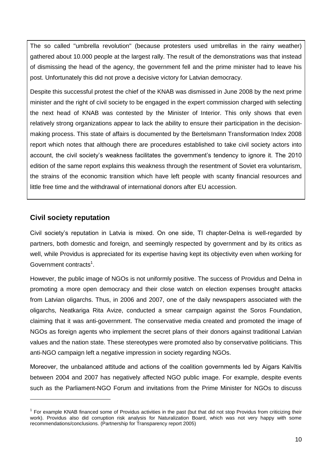The so called "umbrella revolution" (because protesters used umbrellas in the rainy weather) gathered about 10.000 people at the largest rally. The result of the demonstrations was that instead of dismissing the head of the agency, the government fell and the prime minister had to leave his post. Unfortunately this did not prove a decisive victory for Latvian democracy.

Despite this successful protest the chief of the KNAB was dismissed in June 2008 by the next prime minister and the right of civil society to be engaged in the expert commission charged with selecting the next head of KNAB was contested by the Minister of Interior. This only shows that even relatively strong organizations appear to lack the ability to ensure their participation in the decisionmaking process. This state of affairs is documented by the Bertelsmann Transformation Index 2008 report which notes that although there are procedures established to take civil society actors into account, the civil society's weakness facilitates the government's tendency to ignore it. The 2010 edition of the same report explains this weakness through the resentment of Soviet era voluntarism, the strains of the economic transition which have left people with scanty financial resources and little free time and the withdrawal of international donors after EU accession.

## <span id="page-9-0"></span>**Civil society reputation**

-

Civil society's reputation in Latvia is mixed. On one side, TI chapter-Delna is well-regarded by partners, both domestic and foreign, and seemingly respected by government and by its critics as well, while Providus is appreciated for its expertise having kept its objectivity even when working for Government contracts<sup>1</sup>.

However, the public image of NGOs is not uniformly positive. The success of Providus and Delna in promoting a more open democracy and their close watch on election expenses brought attacks from Latvian oligarchs. Thus, in 2006 and 2007, one of the daily newspapers associated with the oligarchs, Neatkariga Rita Avize, conducted a smear campaign against the Soros Foundation, claiming that it was anti-government. The conservative media created and promoted the image of NGOs as foreign agents who implement the secret plans of their donors against traditional Latvian values and the nation state. These stereotypes were promoted also by conservative politicians. This anti-NGO campaign left a negative impression in society regarding NGOs.

Moreover, the unbalanced attitude and actions of the coalition governments led by Aigars Kalvītis between 2004 and 2007 has negatively affected NGO public image. For example, despite events such as the Parliament-NGO Forum and invitations from the Prime Minister for NGOs to discuss

<sup>&</sup>lt;sup>1</sup> For example KNAB financed some of Providus activities in the past (but that did not stop Providus from criticizing their work). Providus also did corruption risk analysis for Naturalization Board, which was not very happy with some recommendations/conclusions. (Partnership for Transparency report 2005)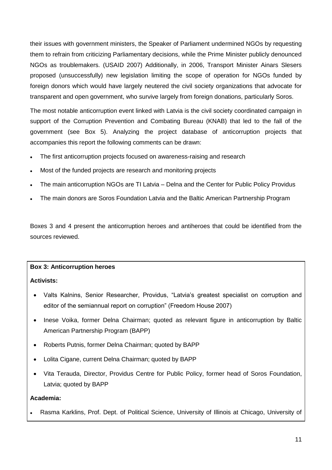their issues with government ministers, the Speaker of Parliament undermined NGOs by requesting them to refrain from criticizing Parliamentary decisions, while the Prime Minister publicly denounced NGOs as troublemakers. (USAID 2007) Additionally, in 2006, Transport Minister Ainars Slesers proposed (unsuccessfully) new legislation limiting the scope of operation for NGOs funded by foreign donors which would have largely neutered the civil society organizations that advocate for transparent and open government, who survive largely from foreign donations, particularly Soros.

The most notable anticorruption event linked with Latvia is the civil society coordinated campaign in support of the Corruption Prevention and Combating Bureau (KNAB) that led to the fall of the government (see Box 5). Analyzing the project database of anticorruption projects that accompanies this report the following comments can be drawn:

- The first anticorruption projects focused on awareness-raising and research
- Most of the funded projects are research and monitoring projects
- The main anticorruption NGOs are TI Latvia Delna and the Center for Public Policy Providus
- The main donors are Soros Foundation Latvia and the Baltic American Partnership Program

Boxes 3 and 4 present the anticorruption heroes and antiheroes that could be identified from the sources reviewed.

#### **Box 3: Anticorruption heroes**

#### **Activists:**

- Valts Kalnins, Senior Researcher, Providus, "Latvia's greatest specialist on corruption and editor of the semiannual report on corruption" (Freedom House 2007)
- Inese Voika, former Delna Chairman; quoted as relevant figure in anticorruption by Baltic American Partnership Program (BAPP)
- Roberts Putnis, former Delna Chairman; quoted by BAPP
- Lolita Cigane, current Delna Chairman; quoted by BAPP
- Vita Terauda, Director, Providus Centre for Public Policy, former head of Soros Foundation, Latvia; quoted by BAPP

#### **Academia:**

Rasma Karklins, Prof. Dept. of Political Science, University of Illinois at Chicago, University of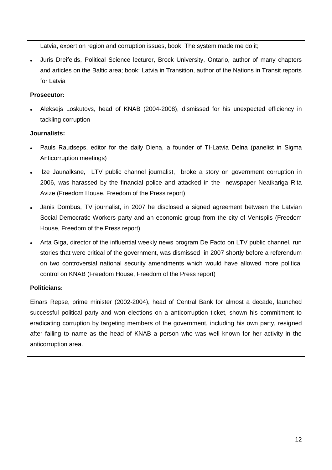Latvia, expert on region and corruption issues, book: The system made me do it;

 Juris Dreifelds, Political Science lecturer, Brock University, Ontario, author of many chapters and articles on the Baltic area; book: Latvia in Transition, author of the Nations in Transit reports for Latvia

## **Prosecutor:**

 Aleksejs Loskutovs, head of KNAB (2004-2008), dismissed for his unexpected efficiency in tackling corruption

#### **Journalists:**

- Pauls Raudseps, editor for the daily Diena, a founder of TI-Latvia Delna (panelist in Sigma Anticorruption meetings)
- Ilze Jaunalksne, LTV public channel journalist, broke a story on government corruption in 2006, was harassed by the financial police and attacked in the newspaper Neatkariga Rita Avize (Freedom House, Freedom of the Press report)
- Janis Dombus, TV journalist, in 2007 he disclosed a signed agreement between the Latvian Social Democratic Workers party and an economic group from the city of Ventspils (Freedom House, Freedom of the Press report)
- Arta Giga, director of the influential weekly news program De Facto on LTV public channel, run stories that were critical of the government, was dismissed in 2007 shortly before a referendum on two controversial national security amendments which would have allowed more political control on KNAB (Freedom House, Freedom of the Press report)

## **Politicians:**

Einars Repse, prime minister (2002-2004), head of Central Bank for almost a decade, launched successful political party and won elections on a anticorruption ticket, shown his commitment to eradicating corruption by targeting members of the government, including his own party, resigned after failing to name as the head of KNAB a person who was well known for her activity in the anticorruption area.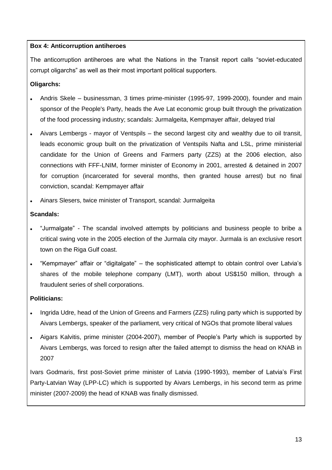#### **Box 4: Anticorruption antiheroes**

The anticorruption antiheroes are what the Nations in the Transit report calls "soviet-educated corrupt oligarchs" as well as their most important political supporters.

#### **Oligarchs:**

- Andris Skele businessman, 3 times prime-minister (1995-97, 1999-2000), founder and main sponsor of the People's Party, heads the Ave Lat economic group built through the privatization of the food processing industry; scandals: Jurmalgeita, Kempmayer affair, delayed trial
- Aivars Lembergs mayor of Ventspils the second largest city and wealthy due to oil transit, leads economic group built on the privatization of Ventspils Nafta and LSL, prime ministerial candidate for the Union of Greens and Farmers party (ZZS) at the 2006 election, also connections with FFF-LNIM, former minister of Economy in 2001, arrested & detained in 2007 for corruption (incarcerated for several months, then granted house arrest) but no final conviction, scandal: Kempmayer affair
- Ainars Slesers, twice minister of Transport, scandal: Jurmalgeita

#### **Scandals:**

- "Jurmalgate" The scandal involved attempts by politicians and business people to bribe a critical swing vote in the 2005 election of the Jurmala city mayor. Jurmala is an exclusive resort town on the Riga Gulf coast.
- "Kempmayer" affair or "digitalgate" the sophisticated attempt to obtain control over Latvia's shares of the mobile telephone company (LMT), worth about US\$150 million, through a fraudulent series of shell corporations.

#### **Politicians:**

- Ingrida Udre, head of the Union of Greens and Farmers (ZZS) ruling party which is supported by Aivars Lembergs, speaker of the parliament, very critical of NGOs that promote liberal values
- Aigars Kalvitis, prime minister (2004-2007), member of People's Party which is supported by Aivars Lembergs, was forced to resign after the failed attempt to dismiss the head on KNAB in 2007

Ivars Godmaris, first post-Soviet prime minister of Latvia (1990-1993), member of Latvia's First Party-Latvian Way (LPP-LC) which is supported by Aivars Lembergs, in his second term as prime minister (2007-2009) the head of KNAB was finally dismissed.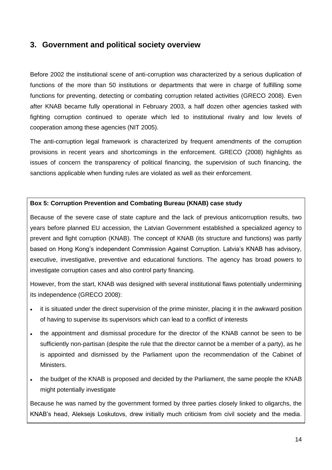# <span id="page-13-0"></span>**3. Government and political society overview**

Before 2002 the institutional scene of anti-corruption was characterized by a serious duplication of functions of the more than 50 institutions or departments that were in charge of fulfilling some functions for preventing, detecting or combating corruption related activities (GRECO 2008). Even after KNAB became fully operational in February 2003, a half dozen other agencies tasked with fighting corruption continued to operate which led to institutional rivalry and low levels of cooperation among these agencies (NIT 2005).

The anti-corruption legal framework is characterized by frequent amendments of the corruption provisions in recent years and shortcomings in the enforcement. GRECO (2008) highlights as issues of concern the transparency of political financing, the supervision of such financing, the sanctions applicable when funding rules are violated as well as their enforcement.

#### **Box 5: Corruption Prevention and Combating Bureau (KNAB) case study**

Because of the severe case of state capture and the lack of previous anticorruption results, two years before planned EU accession, the Latvian Government established a specialized agency to prevent and fight corruption (KNAB). The concept of KNAB (its structure and functions) was partly based on Hong Kong's independent Commission Against Corruption. Latvia's KNAB has advisory, executive, investigative, preventive and educational functions. The agency has broad powers to investigate corruption cases and also control party financing.

However, from the start, KNAB was designed with several institutional flaws potentially undermining its independence (GRECO 2008):

- it is situated under the direct supervision of the prime minister, placing it in the awkward position of having to supervise its supervisors which can lead to a conflict of interests
- the appointment and dismissal procedure for the director of the KNAB cannot be seen to be sufficiently non-partisan (despite the rule that the director cannot be a member of a party), as he is appointed and dismissed by the Parliament upon the recommendation of the Cabinet of Ministers.
- the budget of the KNAB is proposed and decided by the Parliament, the same people the KNAB might potentially investigate

Because he was named by the government formed by three parties closely linked to oligarchs, the KNAB's head, Aleksejs Loskutovs, drew initially much criticism from civil society and the media.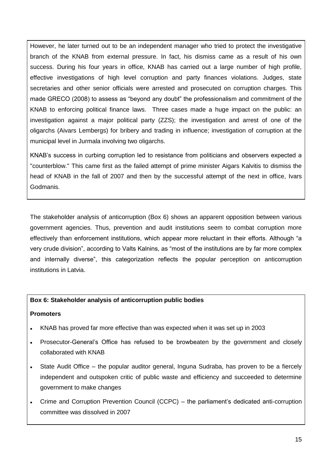However, he later turned out to be an independent manager who tried to protect the investigative branch of the KNAB from external pressure. In fact, his dismiss came as a result of his own success. During his four years in office, KNAB has carried out a large number of high profile, effective investigations of high level corruption and party finances violations. Judges, state secretaries and other senior officials were arrested and prosecuted on corruption charges. This made GRECO (2008) to assess as "beyond any doubt" the professionalism and commitment of the KNAB to enforcing political finance laws. Three cases made a huge impact on the public: an investigation against a major political party (ZZS); the investigation and arrest of one of the oligarchs (Aivars Lembergs) for bribery and trading in influence; investigation of corruption at the municipal level in Jurmala involving two oligarchs.

KNAB's success in curbing corruption led to resistance from politicians and observers expected a "counterblow." This came first as the failed attempt of prime minister Aigars Kalvitis to dismiss the head of KNAB in the fall of 2007 and then by the successful attempt of the next in office, Ivars Godmanis.

The stakeholder analysis of anticorruption (Box 6) shows an apparent opposition between various government agencies. Thus, prevention and audit institutions seem to combat corruption more effectively than enforcement institutions, which appear more reluctant in their efforts. Although "a very crude division", according to Valts Kalnins, as "most of the institutions are by far more complex and internally diverse", this categorization reflects the popular perception on anticorruption institutions in Latvia.

#### **Box 6: Stakeholder analysis of anticorruption public bodies**

#### **Promoters**

- KNAB has proved far more effective than was expected when it was set up in 2003
- Prosecutor-General's Office has refused to be browbeaten by the government and closely collaborated with KNAB
- State Audit Office the popular auditor general, Inguna Sudraba, has proven to be a fiercely independent and outspoken critic of public waste and efficiency and succeeded to determine government to make changes
- Crime and Corruption Prevention Council (CCPC) the parliament's dedicated anti-corruption committee was dissolved in 2007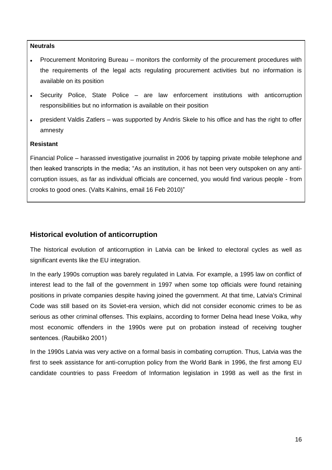#### **Neutrals**

- Procurement Monitoring Bureau monitors the conformity of the procurement procedures with the requirements of the legal acts regulating procurement activities but no information is available on its position
- Security Police, State Police are law enforcement institutions with anticorruption responsibilities but no information is available on their position
- president Valdis Zatlers was supported by Andris Skele to his office and has the right to offer amnesty

#### **Resistant**

Financial Police – harassed investigative journalist in 2006 by tapping private mobile telephone and then leaked transcripts in the media; "As an institution, it has not been very outspoken on any anticorruption issues, as far as individual officials are concerned, you would find various people - from crooks to good ones. (Valts Kalnins, email 16 Feb 2010)"

## <span id="page-15-0"></span>**Historical evolution of anticorruption**

The historical evolution of anticorruption in Latvia can be linked to electoral cycles as well as significant events like the EU integration.

In the early 1990s corruption was barely regulated in Latvia. For example, a 1995 law on conflict of interest lead to the fall of the government in 1997 when some top officials were found retaining positions in private companies despite having joined the government. At that time, Latvia's Criminal Code was still based on its Soviet-era version, which did not consider economic crimes to be as serious as other criminal offenses. This explains, according to former Delna head Inese Voika, why most economic offenders in the 1990s were put on probation instead of receiving tougher sentences. (Raubiško 2001)

In the 1990s Latvia was very active on a formal basis in combating corruption. Thus, Latvia was the first to seek assistance for anti-corruption policy from the World Bank in 1996, the first among EU candidate countries to pass Freedom of Information legislation in 1998 as well as the first in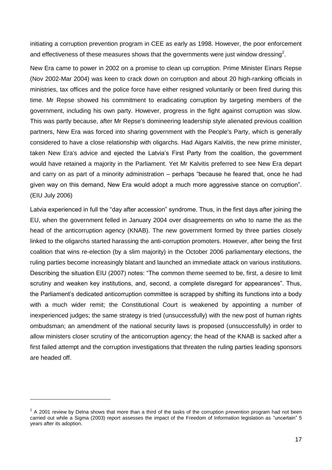initiating a corruption prevention program in CEE as early as 1998. However, the poor enforcement and effectiveness of these measures shows that the governments were just window dressing<sup>2</sup>.

New Era came to power in 2002 on a promise to clean up corruption. Prime Minister Einars Repse (Nov 2002-Mar 2004) was keen to crack down on corruption and about 20 high-ranking officials in ministries, tax offices and the police force have either resigned voluntarily or been fired during this time. Mr Repse showed his commitment to eradicating corruption by targeting members of the government, including his own party. However, progress in the fight against corruption was slow. This was partly because, after Mr Repse's domineering leadership style alienated previous coalition partners, New Era was forced into sharing government with the People's Party, which is generally considered to have a close relationship with oligarchs. Had Aigars Kalvitis, the new prime minister, taken New Era's advice and ejected the Latvia's First Party from the coalition, the government would have retained a majority in the Parliament. Yet Mr Kalvitis preferred to see New Era depart and carry on as part of a minority administration – perhaps "because he feared that, once he had given way on this demand, New Era would adopt a much more aggressive stance on corruption". (EIU July 2006)

Latvia experienced in full the "day after accession" syndrome. Thus, in the first days after joining the EU, when the government felled in January 2004 over disagreements on who to name the as the head of the anticorruption agency (KNAB). The new government formed by three parties closely linked to the oligarchs started harassing the anti-corruption promoters. However, after being the first coalition that wins re-election (by a slim majority) in the October 2006 parliamentary elections, the ruling parties become increasingly blatant and launched an immediate attack on various institutions. Describing the situation EIU (2007) notes: "The common theme seemed to be, first, a desire to limit scrutiny and weaken key institutions, and, second, a complete disregard for appearances". Thus, the Parliament's dedicated anticorruption committee is scrapped by shifting its functions into a body with a much wider remit; the Constitutional Court is weakened by appointing a number of inexperienced judges; the same strategy is tried (unsuccessfully) with the new post of human rights ombudsman; an amendment of the national security laws is proposed (unsuccessfully) in order to allow ministers closer scrutiny of the anticorruption agency; the head of the KNAB is sacked after a first failed attempt and the corruption investigations that threaten the ruling parties leading sponsors are headed off.

-

 $2$  A 2001 review by Delna shows that more than a third of the tasks of the corruption prevention program had not been carried out while a Sigma (2003) report assesses the impact of the Freedom of Information legislation as "uncertain" 5 years after its adoption.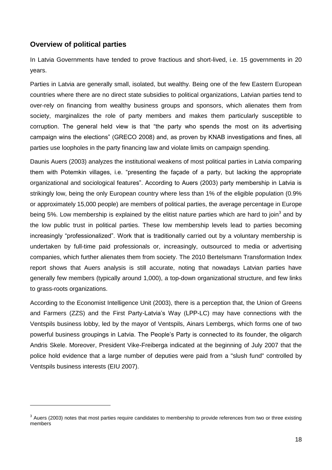## <span id="page-17-0"></span>**Overview of political parties**

-

In Latvia Governments have tended to prove fractious and short-lived, i.e. 15 governments in 20 years.

Parties in Latvia are generally small, isolated, but wealthy. Being one of the few Eastern European countries where there are no direct state subsidies to political organizations, Latvian parties tend to over-rely on financing from wealthy business groups and sponsors, which alienates them from society, marginalizes the role of party members and makes them particularly susceptible to corruption. The general held view is that "the party who spends the most on its advertising campaign wins the elections" (GRECO 2008) and, as proven by KNAB investigations and fines, all parties use loopholes in the party financing law and violate limits on campaign spending.

Daunis Auers (2003) analyzes the institutional weakens of most political parties in Latvia comparing them with Potemkin villages, i.e. "presenting the façade of a party, but lacking the appropriate organizational and sociological features". According to Auers (2003) party membership in Latvia is strikingly low, being the only European country where less than 1% of the eligible population (0.9% or approximately 15,000 people) are members of political parties, the average percentage in Europe being 5%. Low membership is explained by the elitist nature parties which are hard to join<sup>3</sup> and by the low public trust in political parties. These low membership levels lead to parties becoming increasingly "professionalized". Work that is traditionally carried out by a voluntary membership is undertaken by full-time paid professionals or, increasingly, outsourced to media or advertising companies, which further alienates them from society. The 2010 Bertelsmann Transformation Index report shows that Auers analysis is still accurate, noting that nowadays Latvian parties have generally few members (typically around 1,000), a top-down organizational structure, and few links to grass-roots organizations.

According to the Economist Intelligence Unit (2003), there is a perception that, the Union of Greens and Farmers (ZZS) and the First Party-Latvia's Way (LPP-LC) may have connections with the Ventspils business lobby, led by the mayor of Ventspils, Ainars Lembergs, which forms one of two powerful business groupings in Latvia. The People's Party is connected to its founder, the oligarch Andris Skele. Moreover, President Vike-Freiberga indicated at the beginning of July 2007 that the police hold evidence that a large number of deputies were paid from a "slush fund" controlled by Ventspils business interests (EIU 2007).

 $3$  Auers (2003) notes that most parties require candidates to membership to provide references from two or three existing members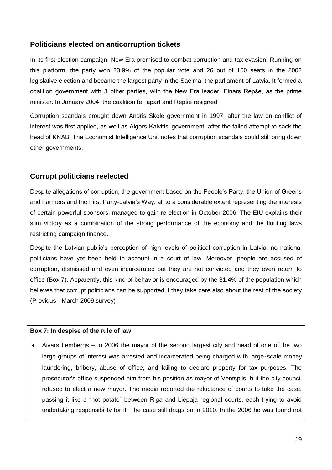## <span id="page-18-0"></span>**Politicians elected on anticorruption tickets**

In its first election campaign, New Era promised to combat corruption and tax evasion. Running on this platform, the party won 23.9% of the popular vote and 26 out of 100 seats in the 2002 legislative election and became the largest party in the Saeima, the parliament of Latvia. It formed a coalition government with 3 other parties, with the New Era leader, Einars Repše, as the prime minister. In January 2004, the coalition fell apart and Repše resigned.

Corruption scandals brought down Andris Skele government in 1997, after the law on conflict of interest was first applied, as well as Aigars Kalvitis' government, after the failed attempt to sack the head of KNAB. The Economist Intelligence Unit notes that corruption scandals could still bring down other governments.

## <span id="page-18-1"></span>**Corrupt politicians reelected**

Despite allegations of corruption, the government based on the People's Party, the Union of Greens and Farmers and the First Party-Latvia's Way, all to a considerable extent representing the interests of certain powerful sponsors, managed to gain re-election in October 2006. The EIU explains their slim victory as a combination of the strong performance of the economy and the flouting laws restricting campaign finance.

Despite the Latvian public's perception of high levels of political corruption in Latvia, no national politicians have yet been held to account in a court of law. Moreover, people are accused of corruption, dismissed and even incarcerated but they are not convicted and they even return to office (Box 7). Apparently, this kind of behavior is encouraged by the 31.4% of the population which believes that corrupt politicians can be supported if they take care also about the rest of the society (Providus - March 2009 survey)

#### **Box 7: In despise of the rule of law**

 Aivars Lembergs – In 2006 the mayor of the second largest city and head of one of the two large groups of interest was arrested and incarcerated being charged with large-scale money laundering, bribery, abuse of office, and failing to declare property for tax purposes. The prosecutor's office suspended him from his position as mayor of Ventspils, but the city council refused to elect a new mayor. The media reported the reluctance of courts to take the case, passing it like a "hot potato" between Riga and Liepaja regional courts, each trying to avoid undertaking responsibility for it. The case still drags on in 2010. In the 2006 he was found not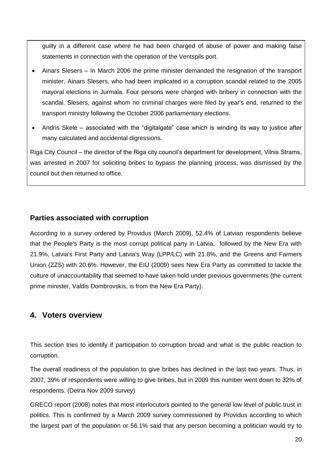guilty in a different case where he had been charged of abuse of power and making false statements in connection with the operation of the Ventspils port.

- Ainars Slesers In March 2006 the prime minister demanded the resignation of the transport minister, Ainars Slesers, who had been implicated in a corruption scandal related to the 2005 mayoral elections in Jurmala. Four persons were charged with bribery in connection with the scandal. Slesers, against whom no criminal charges were filed by year's end, returned to the transport ministry following the October 2006 parliamentary elections.
- Andris Skele associated with the "digitalgate" case which is winding its way to justice after many calculated and accidental digressions.

Riga City Council – the director of the Riga city council's department for development, Vilnis Strams, was arrested in 2007 for soliciting bribes to bypass the planning process, was dismissed by the council but then returned to office.

# <span id="page-19-0"></span>**Parties associated with corruption**

According to a survey ordered by Providus (March 2009), 52.4% of Latvian respondents believe that the People's Party is the most corrupt political party in Latvia, followed by the New Era with 21.9%, Latvia's First Party and Latvia's Way (LPP/LC) with 21.8%, and the Greens and Farmers Union (ZZS) with 20.6%. However, the EIU (2009) sees New Era Party as committed to tackle the culture of unaccountability that seemed to have taken hold under previous governments (the current prime minister, Valdis Dombrovskis, is from the New Era Party).

# <span id="page-19-1"></span>**4. Voters overview**

This section tries to identify if participation to corruption broad and what is the public reaction to corruption.

The overall readiness of the population to give bribes has declined in the last two years. Thus, in 2007, 39% of respondents were willing to give bribes, but in 2009 this number went down to 32% of respondents. (Delna Nov 2009 survey)

GRECO report (2008) notes that most interlocutors pointed to the general low level of public trust in politics. This is confirmed by a March 2009 survey commissioned by Providus according to which the largest part of the population or 56.1% said that any person becoming a politician would try to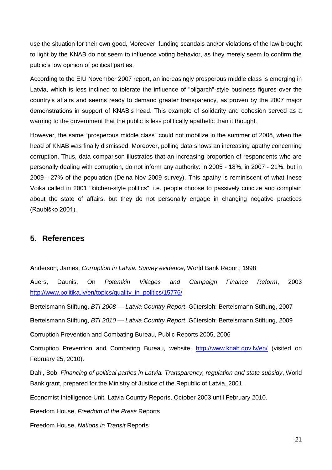use the situation for their own good, Moreover, funding scandals and/or violations of the law brought to light by the KNAB do not seem to influence voting behavior, as they merely seem to confirm the public's low opinion of political parties.

According to the EIU November 2007 report, an increasingly prosperous middle class is emerging in Latvia, which is less inclined to tolerate the influence of "oligarch"-style business figures over the country's affairs and seems ready to demand greater transparency, as proven by the 2007 major demonstrations in support of KNAB's head. This example of solidarity and cohesion served as a warning to the government that the public is less politically apathetic than it thought.

However, the same "prosperous middle class" could not mobilize in the summer of 2008, when the head of KNAB was finally dismissed. Moreover, polling data shows an increasing apathy concerning corruption. Thus, data comparison illustrates that an increasing proportion of respondents who are personally dealing with corruption, do not inform any authority: in 2005 - 18%, in 2007 - 21%, but in 2009 - 27% of the population (Delna Nov 2009 survey). This apathy is reminiscent of what Inese Voika called in 2001 "kitchen-style politics", i.e. people choose to passively criticize and complain about the state of affairs, but they do not personally engage in changing negative practices (Raubiško 2001).

# <span id="page-20-0"></span>**5. References**

**A**nderson, James, *Corruption in Latvia. Survey evidence*, World Bank Report, 1998

**A**uers, Daunis, On *Potemkin Villages and Campaign Finance Reform*, 2003 [http://www.politika.lv/en/topics/quality\\_in\\_politics/15776/](http://www.politika.lv/en/topics/quality_in_politics/15776/)

**B**ertelsmann Stiftung, *BTI 2008 — Latvia Country Report*. Gütersloh: Bertelsmann Stiftung, 2007

**B**ertelsmann Stiftung, *BTI 2010 — Latvia Country Report*. Gütersloh: Bertelsmann Stiftung, 2009

**C**orruption Prevention and Combating Bureau, Public Reports 2005, 2006

**Corruption Prevention and Combating Bureau, website, <http://www.knab.gov.lv/en/> (visited on** February 25, 2010).

**D**ahl, Bob, *Financing of political parties in Latvia. Transparency, regulation and state subsidy*, World Bank grant, prepared for the Ministry of Justice of the Republic of Latvia, 2001.

**E**conomist Intelligence Unit, Latvia Country Reports, October 2003 until February 2010.

**F**reedom House, *Freedom of the Press* Reports

**F**reedom House, *Nations in Transit* Reports